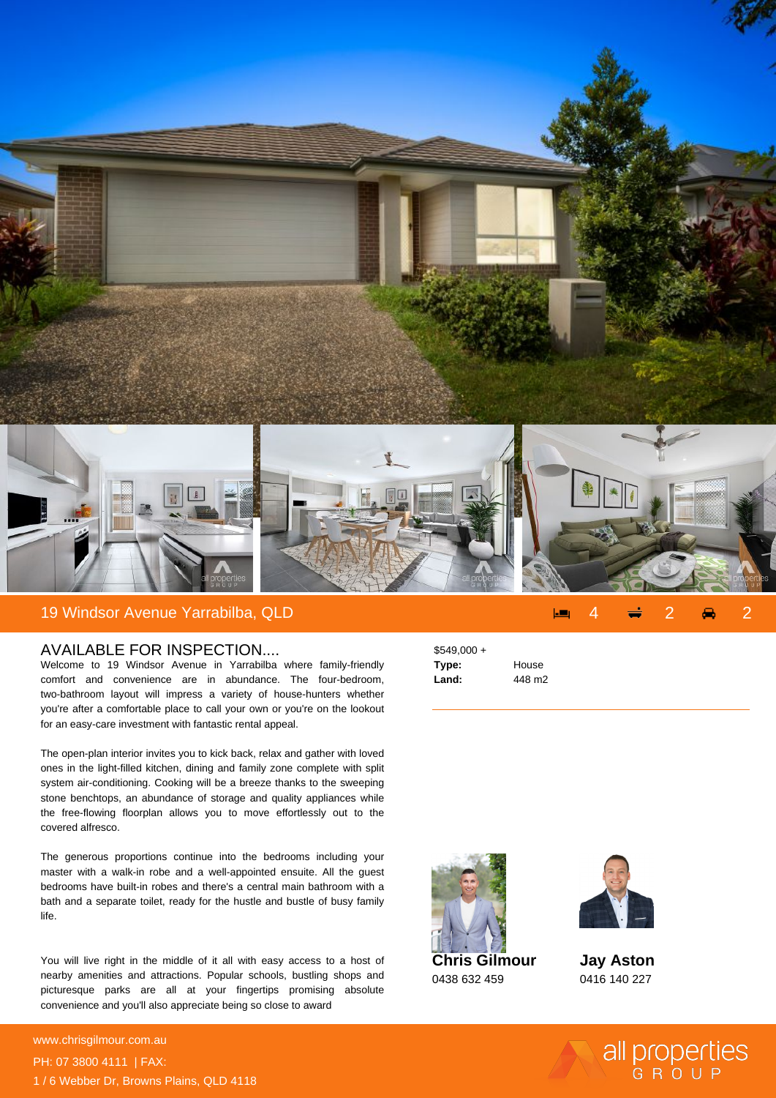

## AVAILABLE FOR INSPECTION....

Welcome to 19 Windsor Avenue in Yarrabilba where family-friendly comfort and convenience are in abundance. The four-bedroom, two-bathroom layout will impress a variety of house-hunters whether you're after a comfortable place to call your own or you're on the lookout for an easy-care investment with fantastic rental appeal.

The open-plan interior invites you to kick back, relax and gather with loved ones in the light-filled kitchen, dining and family zone complete with split system air-conditioning. Cooking will be a breeze thanks to the sweeping stone benchtops, an abundance of storage and quality appliances while the free-flowing floorplan allows you to move effortlessly out to the covered alfresco.

The generous proportions continue into the bedrooms including your master with a walk-in robe and a well-appointed ensuite. All the guest bedrooms have built-in robes and there's a central main bathroom with a bath and a separate toilet, ready for the hustle and bustle of busy family life.

You will live right in the middle of it all with easy access to a host of nearby amenities and attractions. Popular schools, bustling shops and picturesque parks are all at your fingertips promising absolute convenience and you'll also appreciate being so close to award

**For more details please visit** www.chrisgilmour.com.au/<sub>698</sub>368368700 PH: 07 3800 4111 | FAX: 1 / 6 Webber Dr, Browns Plains, QLD 4118 \$549,000 + **Type:** House **Land:** 448 m2



0438 632 459



**Jay Aston** 0416 140 227

all properties